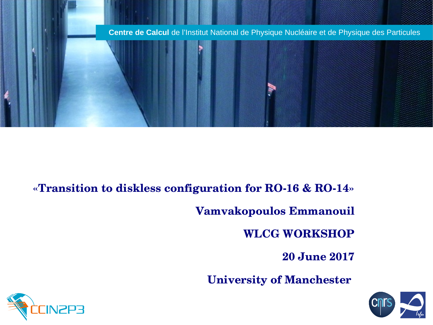

### **«Transition to diskless configuration for RO16 & RO14»**

**Vamvakopoulos Emmanouil**

**WLCG WORKSHOP**

**20 June 2017**

**University of Manchester** 



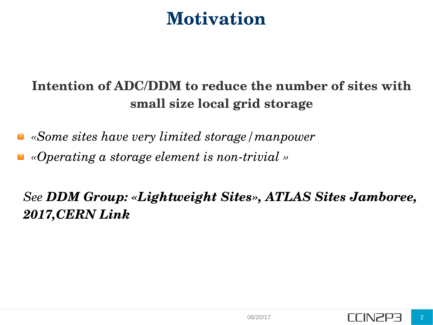## **Motivation**

### **Intention of ADC/DDM to reduce the number of sites with small size local grid storage**

- *«Some sites have very limited storage/manpower*
- «Operating a storage element is non-trivial »

*See DDM Group: «Lightweight Sites», ATLAS Sites Jamboree, 2017,CERN [Link](https://indico.cern.ch/event/579473/contributions/2429469/attachments/1398491/2132963/Lightweight_sites1.pdf)*

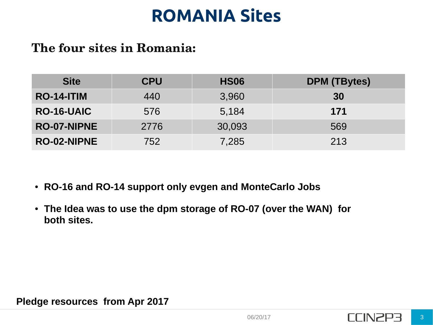# **ROMANIA Sites**

### **The four sites in Romania:**

| <b>Site</b>        | <b>CPU</b> | <b>HS06</b> | <b>DPM (TBytes)</b> |
|--------------------|------------|-------------|---------------------|
| <b>RO-14-ITIM</b>  | 440        | 3,960       | 30                  |
| <b>RO-16-UAIC</b>  | 576        | 5,184       | 171                 |
| <b>RO-07-NIPNE</b> | 2776       | 30,093      | 569                 |
| <b>RO-02-NIPNE</b> | 752        | 7,285       | 213                 |

- **RO-16 and RO-14 support only evgen and MonteCarlo Jobs**
- The Idea was to use the dpm storage of RO-07 (over the WAN) for **both sites.**

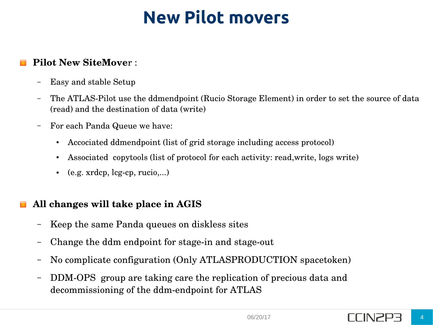## **New Pilot movers**

#### **Pilot New SiteMove**r :

- Easy and stable Setup
- The ATLAS-Pilot use the ddmendpoint (Rucio Storage Element) in order to set the source of data (read) and the destination of data (write)
- For each Panda Queue we have:
	- Accociated ddmendpoint (list of grid storage including access protocol)
	- Associated copytools (list of protocol for each activity: read, write, logs write)
	- $\bullet$  (e.g. xrdcp, lcg-cp, rucio,...)

#### **All changes will take place in AGIS**

- Keep the same Panda queues on diskless sites
- Change the ddm endpoint for stage-in and stage-out
- No complicate configuration (Only ATLASPRODUCTION spacetoken)
- DDM-OPS group are taking care the replication of precious data and decommissioning of the ddm-endpoint for ATLAS

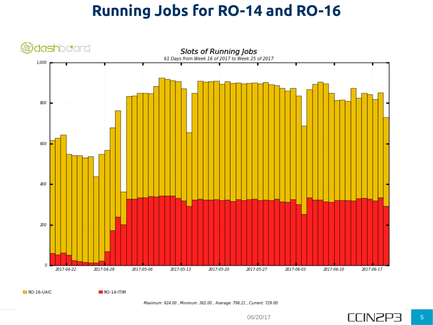## **Running Jobs for RO-14 and RO-16**



 $B$  RO-16-UAIC

 $RO-14-ITIM$ 

Maximum: 924.00, Minimum: 362.00, Average: 796.21, Current: 729.00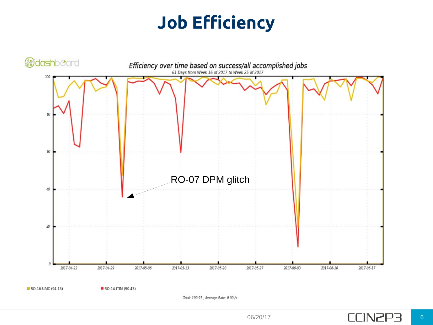# **Job Efficiency**

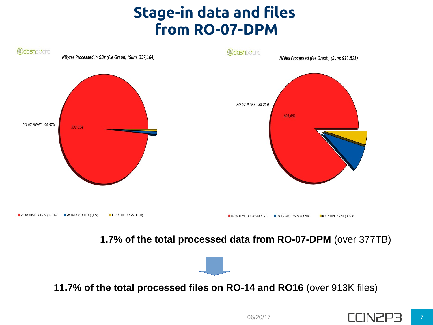## **Stage-in data and files from RO-07-DPM**



#### **1.7% of the total processed data from RO-07-DPM** (over 377TB)



**11.7% of the total processed files on RO-14 and RO16** (over 913K files)

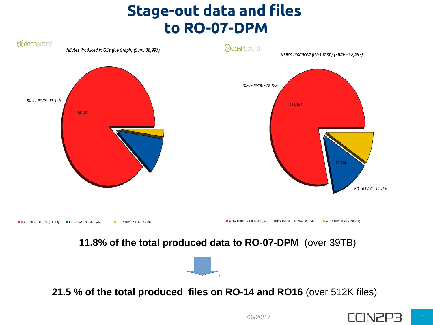## **Stage-out data and files to RO-07-DPM**



**21.5 % of the total produced files on RO-14 and RO16** (over 512K files)

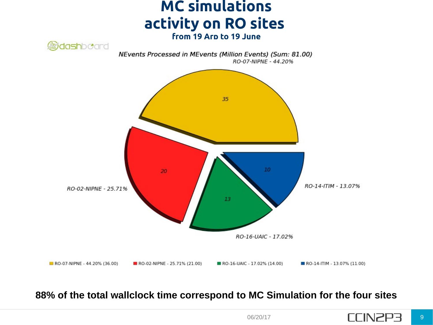



#### **88% of the total wallclock time correspond to MC Simulation for the four sites**